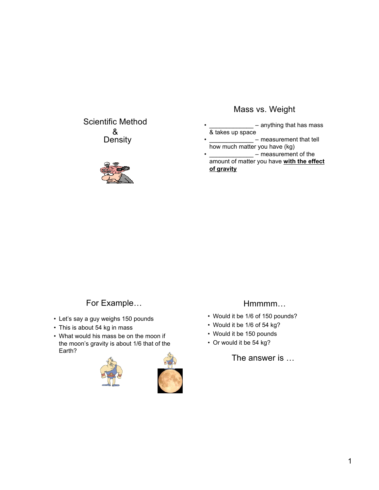## Scientific Method & **Density**



# Mass vs. Weight

- anything that has mass & takes up space
- measurement that tell how much matter you have (kg)
- $=$  measurement of the amount of matter you have **with the effect of gravity**

# For Example…

- Let's say a guy weighs 150 pounds
- This is about 54 kg in mass
- What would his mass be on the moon if the moon's gravity is about 1/6 that of the Earth?





## Hmmmm…

- Would it be 1/6 of 150 pounds?
- Would it be 1/6 of 54 kg?
- Would it be 150 pounds
- Or would it be 54 kg?

The answer is …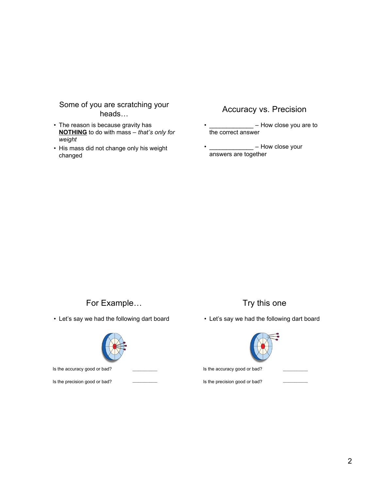#### Some of you are scratching your heads…

- The reason is because gravity has **NOTHING** to do with mass – *that's only for weight*
- His mass did not change only his weight changed

## Accuracy vs. Precision

- $-$  How close you are to the correct answer
- \_\_\_\_\_\_\_\_\_\_\_\_\_ How close your answers are together

#### For Example…

• Let's say we had the following dart board



Is the accuracy good or bad?

Is the precision good or bad?

# Try this one

• Let's say we had the following dart board



Is the precision good or bad?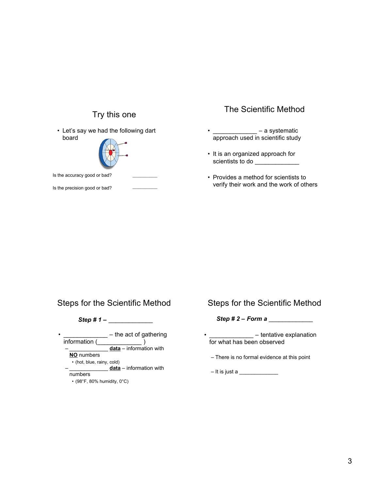# Try this one

• Let's say we had the following dart board



Is the accuracy good or bad?

Is the precision good or bad?

## The Scientific Method

- $-$  a systematic approach used in scientific study
- It is an organized approach for scientists to do
- Provides a method for scientists to verify their work and the work of others

### Steps for the Scientific Method

*Step # 1 –* \_\_\_\_\_\_\_\_\_\_\_\_\_

| ٠                                 | - the act of gathering    |
|-----------------------------------|---------------------------|
| information (                     |                           |
|                                   | data - information with   |
| <b>NO</b> numbers                 |                           |
| • (hot, blue, rainy, cold)        |                           |
|                                   | $data - information$ with |
| numbers                           |                           |
| $\cdot$ (98°F, 80% humidity, 0°C) |                           |

#### Steps for the Scientific Method

*Step # 2 – Form a* \_\_\_\_\_\_\_\_\_\_\_\_\_

- $-$  tentative explanation for what has been observed
- There is no formal evidence at this point

 $-$  It is just a  $\frac{1}{2}$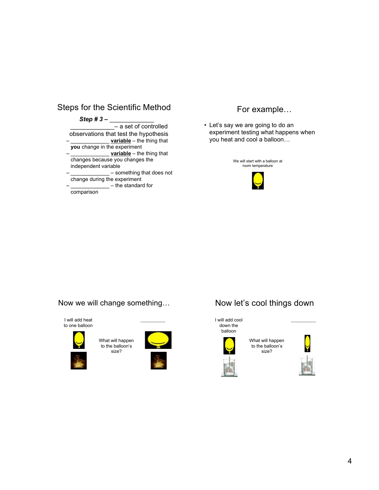# Steps for the Scientific Method

#### *Step # 3 –* \_\_\_\_\_\_\_\_\_\_\_\_\_

\_\_\_\_\_\_\_\_\_\_\_\_\_– a set of controlled observations that test the hypothesis **<u>variable</u>** – the thing that

**you** change in the experiment – \_\_\_\_\_\_\_\_\_\_\_\_\_ **variable** – the thing that changes because you changes the

independent variable – \_\_\_\_\_\_\_\_\_\_\_\_\_ – something that does not change during the experiment

 $-$  the standard for comparison

## For example…

• Let's say we are going to do an experiment testing what happens when you heat and cool a balloon…



Now we will change something…





What will happen to the balloon's size?



 $\mathcal{L}=\mathcal{L}^{\mathcal{L}}$ 

# Now let's cool things down



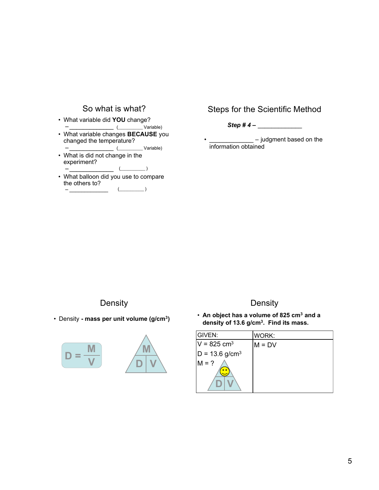

## Steps for the Scientific Method

*Step # 4 –* \_\_\_\_\_\_\_\_\_\_\_\_\_

- judgment based on the information obtained

**Density** 

• Density **- mass per unit volume (g/cm3)**



– \_\_\_\_\_\_\_\_\_\_\_\_\_



# **Density**

• **An object has a volume of 825 cm3 and a density of 13.6 g/cm3. Find its mass.**

| GIVEN:                       | WORK:    |
|------------------------------|----------|
| $V = 825$ cm <sup>3</sup>    | $M = DV$ |
| $D = 13.6$ g/cm <sup>3</sup> |          |
| $M = ?$                      |          |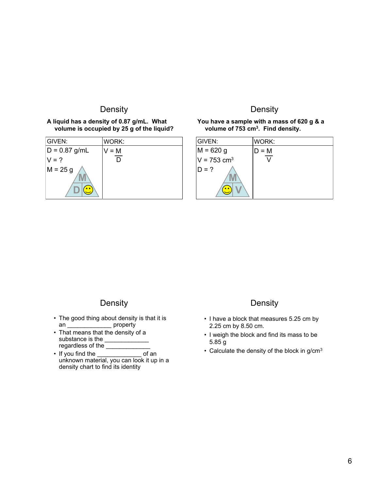### **Density**

#### **A liquid has a density of 0.87 g/mL. What volume is occupied by 25 g of the liquid?**

| <b>GIVEN:</b>   | WORK:   |
|-----------------|---------|
| $D = 0.87$ g/mL | $V = M$ |
| $V = ?$         |         |
| $M = 25 g$      |         |
| 0 <sub>0</sub>  |         |

## **Density**

#### **You have a sample with a mass of 620 g & a volume of 753 cm3. Find density.**

| GIVEN:                    | WORK: |
|---------------------------|-------|
| $M = 620 g$               | D = M |
| $V = 753$ cm <sup>3</sup> |       |
| $D = ?$                   |       |

#### **Density**

- The good thing about density is that it is an **property**
- That means that the density of a substance is the \_\_\_\_\_\_\_\_\_\_\_\_\_\_ regardless of the \_\_\_\_\_\_\_\_\_\_\_\_\_\_\_
- If you find the \_\_\_\_\_\_\_\_\_\_\_\_\_ of an unknown material, you can look it up in a density chart to find its identity

#### **Density**

- I have a block that measures 5.25 cm by 2.25 cm by 8.50 cm.
- I weigh the block and find its mass to be 5.85 g
- Calculate the density of the block in g/cm<sup>3</sup>